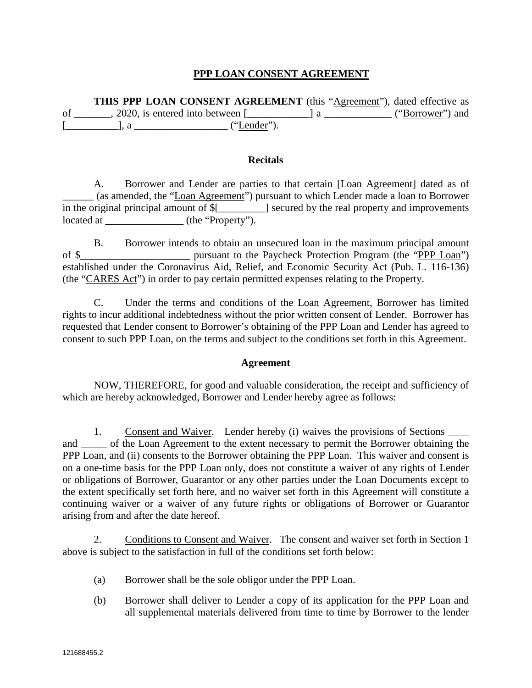# **PPP LOAN CONSENT AGREEMENT**

**THIS PPP LOAN CONSENT AGREEMENT** (this "Agreement"), dated effective as of \_\_\_\_\_\_\_, 2020, is entered into between [\_\_\_\_\_\_\_\_\_\_\_\_] a \_\_\_\_\_\_\_\_\_\_\_\_\_ ("Borrower") and [\_\_\_\_\_\_\_\_\_\_], a \_\_\_\_\_\_\_\_\_\_\_\_\_\_\_\_\_\_ ("Lender").

### **Recitals**

A. Borrower and Lender are parties to that certain [Loan Agreement] dated as of (as amended, the "Loan Agreement") pursuant to which Lender made a loan to Borrower in the original principal amount of \$[\_\_\_\_\_\_\_\_\_] secured by the real property and improvements located at \_\_\_\_\_\_\_\_\_\_\_\_\_\_\_\_\_\_\_\_\_\_ (the "Property").

B. Borrower intends to obtain an unsecured loan in the maximum principal amount of \$\_\_\_\_\_\_\_\_\_\_\_\_\_\_\_\_\_\_\_\_\_ pursuant to the Paycheck Protection Program (the "PPP Loan") established under the Coronavirus Aid, Relief, and Economic Security Act (Pub. L. 116-136) (the "CARES Act") in order to pay certain permitted expenses relating to the Property.

C. Under the terms and conditions of the Loan Agreement, Borrower has limited rights to incur additional indebtedness without the prior written consent of Lender. Borrower has requested that Lender consent to Borrower's obtaining of the PPP Loan and Lender has agreed to consent to such PPP Loan, on the terms and subject to the conditions set forth in this Agreement.

#### **Agreement**

NOW, THEREFORE, for good and valuable consideration, the receipt and sufficiency of which are hereby acknowledged, Borrower and Lender hereby agree as follows:

1. Consent and Waiver. Lender hereby (i) waives the provisions of Sections \_\_\_\_ and \_\_\_\_\_ of the Loan Agreement to the extent necessary to permit the Borrower obtaining the PPP Loan, and (ii) consents to the Borrower obtaining the PPP Loan. This waiver and consent is on a one-time basis for the PPP Loan only, does not constitute a waiver of any rights of Lender or obligations of Borrower, Guarantor or any other parties under the Loan Documents except to the extent specifically set forth here, and no waiver set forth in this Agreement will constitute a continuing waiver or a waiver of any future rights or obligations of Borrower or Guarantor arising from and after the date hereof.

2. Conditions to Consent and Waiver. The consent and waiver set forth in Section 1 above is subject to the satisfaction in full of the conditions set forth below:

- (a) Borrower shall be the sole obligor under the PPP Loan.
- (b) Borrower shall deliver to Lender a copy of its application for the PPP Loan and all supplemental materials delivered from time to time by Borrower to the lender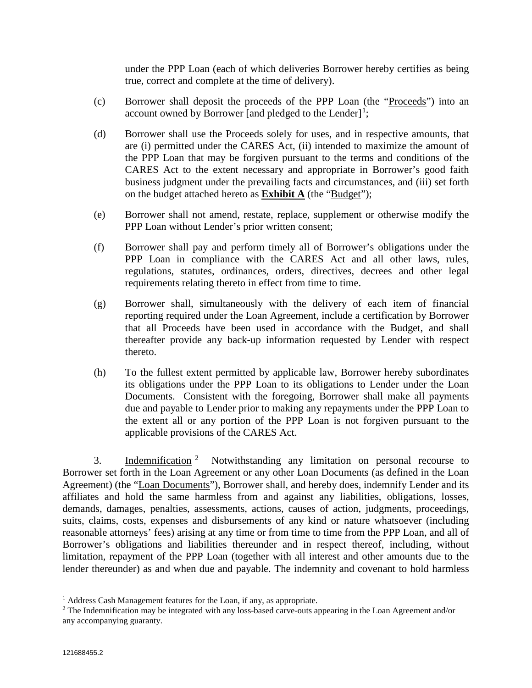under the PPP Loan (each of which deliveries Borrower hereby certifies as being true, correct and complete at the time of delivery).

- (c) Borrower shall deposit the proceeds of the PPP Loan (the "Proceeds") into an account owned by Borrower [and pledged to the Lender] $^1$  $^1$ ;
- (d) Borrower shall use the Proceeds solely for uses, and in respective amounts, that are (i) permitted under the CARES Act, (ii) intended to maximize the amount of the PPP Loan that may be forgiven pursuant to the terms and conditions of the CARES Act to the extent necessary and appropriate in Borrower's good faith business judgment under the prevailing facts and circumstances, and (iii) set forth on the budget attached hereto as **Exhibit A** (the "Budget");
- (e) Borrower shall not amend, restate, replace, supplement or otherwise modify the PPP Loan without Lender's prior written consent;
- (f) Borrower shall pay and perform timely all of Borrower's obligations under the PPP Loan in compliance with the CARES Act and all other laws, rules, regulations, statutes, ordinances, orders, directives, decrees and other legal requirements relating thereto in effect from time to time.
- (g) Borrower shall, simultaneously with the delivery of each item of financial reporting required under the Loan Agreement, include a certification by Borrower that all Proceeds have been used in accordance with the Budget, and shall thereafter provide any back-up information requested by Lender with respect thereto.
- (h) To the fullest extent permitted by applicable law, Borrower hereby subordinates its obligations under the PPP Loan to its obligations to Lender under the Loan Documents. Consistent with the foregoing, Borrower shall make all payments due and payable to Lender prior to making any repayments under the PPP Loan to the extent all or any portion of the PPP Loan is not forgiven pursuant to the applicable provisions of the CARES Act.

3. Indemnification  $2$  Notwithstanding any limitation on personal recourse to Borrower set forth in the Loan Agreement or any other Loan Documents (as defined in the Loan Agreement) (the "Loan Documents"), Borrower shall, and hereby does, indemnify Lender and its affiliates and hold the same harmless from and against any liabilities, obligations, losses, demands, damages, penalties, assessments, actions, causes of action, judgments, proceedings, suits, claims, costs, expenses and disbursements of any kind or nature whatsoever (including reasonable attorneys' fees) arising at any time or from time to time from the PPP Loan, and all of Borrower's obligations and liabilities thereunder and in respect thereof, including, without limitation, repayment of the PPP Loan (together with all interest and other amounts due to the lender thereunder) as and when due and payable. The indemnity and covenant to hold harmless

<span id="page-1-1"></span><span id="page-1-0"></span><sup>&</sup>lt;sup>1</sup> Address Cash Management features for the Loan, if any, as appropriate.<br><sup>2</sup> The Indemnification may be integrated with any loss-based carve-outs appearing in the Loan Agreement and/or any accompanying guaranty.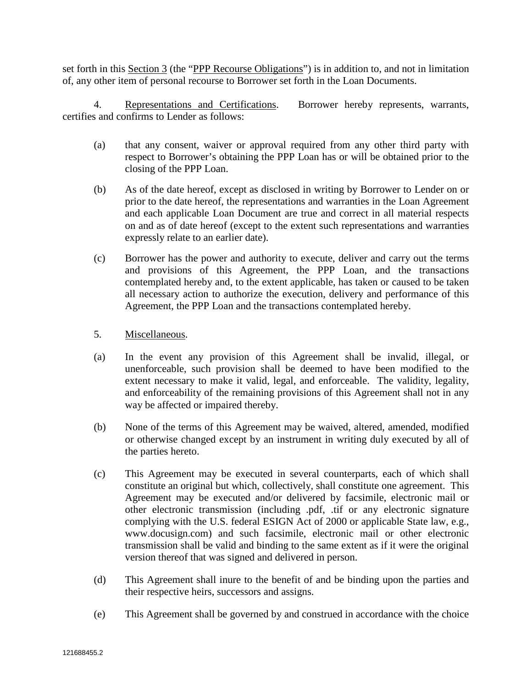set forth in this Section 3 (the "PPP Recourse Obligations") is in addition to, and not in limitation of, any other item of personal recourse to Borrower set forth in the Loan Documents.

4. Representations and Certifications. Borrower hereby represents, warrants, certifies and confirms to Lender as follows:

- (a) that any consent, waiver or approval required from any other third party with respect to Borrower's obtaining the PPP Loan has or will be obtained prior to the closing of the PPP Loan.
- (b) As of the date hereof, except as disclosed in writing by Borrower to Lender on or prior to the date hereof, the representations and warranties in the Loan Agreement and each applicable Loan Document are true and correct in all material respects on and as of date hereof (except to the extent such representations and warranties expressly relate to an earlier date).
- (c) Borrower has the power and authority to execute, deliver and carry out the terms and provisions of this Agreement, the PPP Loan, and the transactions contemplated hereby and, to the extent applicable, has taken or caused to be taken all necessary action to authorize the execution, delivery and performance of this Agreement, the PPP Loan and the transactions contemplated hereby.
- 5. Miscellaneous.
- (a) In the event any provision of this Agreement shall be invalid, illegal, or unenforceable, such provision shall be deemed to have been modified to the extent necessary to make it valid, legal, and enforceable. The validity, legality, and enforceability of the remaining provisions of this Agreement shall not in any way be affected or impaired thereby.
- (b) None of the terms of this Agreement may be waived, altered, amended, modified or otherwise changed except by an instrument in writing duly executed by all of the parties hereto.
- (c) This Agreement may be executed in several counterparts, each of which shall constitute an original but which, collectively, shall constitute one agreement. This Agreement may be executed and/or delivered by facsimile, electronic mail or other electronic transmission (including .pdf, .tif or any electronic signature complying with the U.S. federal ESIGN Act of 2000 or applicable State law, e.g., www.docusign.com) and such facsimile, electronic mail or other electronic transmission shall be valid and binding to the same extent as if it were the original version thereof that was signed and delivered in person.
- (d) This Agreement shall inure to the benefit of and be binding upon the parties and their respective heirs, successors and assigns.
- (e) This Agreement shall be governed by and construed in accordance with the choice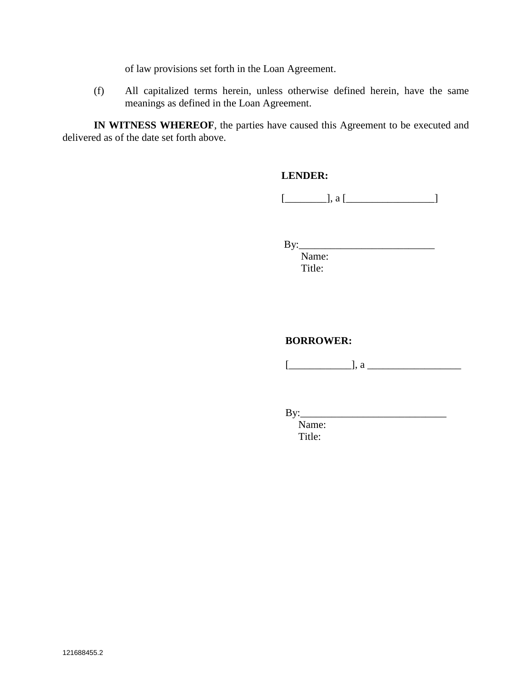of law provisions set forth in the Loan Agreement.

(f) All capitalized terms herein, unless otherwise defined herein, have the same meanings as defined in the Loan Agreement.

**IN WITNESS WHEREOF**, the parties have caused this Agreement to be executed and delivered as of the date set forth above.

## **LENDER:**

 $[\underline{\hspace{1.5cm}}], a [\underline{\hspace{1.5cm}}]$ 

 $By:$ 

Name: Title:

## **BORROWER:**

 $[$   $],$  a  $]$ 

By:\_\_\_\_\_\_\_\_\_\_\_\_\_\_\_\_\_\_\_\_\_\_\_\_\_\_\_\_

 Name: Title: